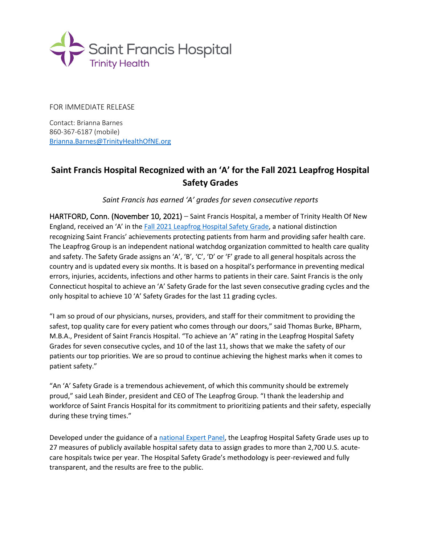

FOR IMMEDIATE RELEASE

Contact: Brianna Barnes 860-367-6187 (mobile) [Brianna.Barnes@TrinityHealthOfNE.org](mailto:Brianna.Barnes@TrinityHealthOfNE.org)

## **Saint Francis Hospital Recognized with an 'A' for the Fall 2021 Leapfrog Hospital Safety Grades**

*Saint Francis has earned 'A' grades for seven consecutive reports*

HARTFORD, Conn. (November 10, 2021) – Saint Francis Hospital, a member of Trinity Health Of New England, received an 'A' in the Fall 2021 [Leapfrog Hospital Safety Grade,](http://www.hospitalsafetygrade.org/) a national distinction recognizing Saint Francis' achievements protecting patients from harm and providing safer health care. The Leapfrog Group is an independent national watchdog organization committed to health care quality and safety. The Safety Grade assigns an 'A', 'B', 'C', 'D' or 'F' grade to all general hospitals across the country and is updated every six months. It is based on a hospital's performance in preventing medical errors, injuries, accidents, infections and other harms to patients in their care. Saint Francis is the only Connecticut hospital to achieve an 'A' Safety Grade for the last seven consecutive grading cycles and the only hospital to achieve 10 'A' Safety Grades for the last 11 grading cycles.

"I am so proud of our physicians, nurses, providers, and staff for their commitment to providing the safest, top quality care for every patient who comes through our doors," said Thomas Burke, BPharm, M.B.A., President of Saint Francis Hospital. "To achieve an 'A" rating in the Leapfrog Hospital Safety Grades for seven consecutive cycles, and 10 of the last 11, shows that we make the safety of our patients our top priorities. We are so proud to continue achieving the highest marks when it comes to patient safety."

"An 'A' Safety Grade is a tremendous achievement, of which this community should be extremely proud," said Leah Binder, president and CEO of The Leapfrog Group. "I thank the leadership and workforce of Saint Francis Hospital for its commitment to prioritizing patients and their safety, especially during these trying times."

Developed under the guidance of [a national Expert Panel,](http://www.leapfroggroup.org/about/expert-panelists) the Leapfrog Hospital Safety Grade uses up to 27 measures of publicly available hospital safety data to assign grades to more than 2,700 U.S. acutecare hospitals twice per year. The Hospital Safety Grade's methodology is peer-reviewed and fully transparent, and the results are free to the public.